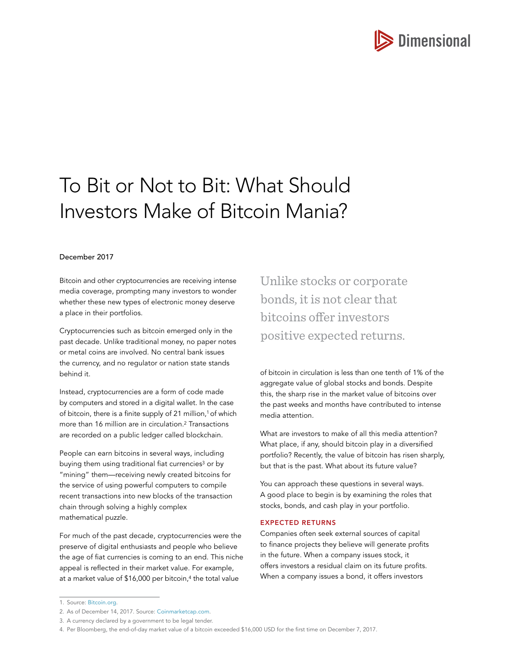

# To Bit or Not to Bit: What Should Investors Make of Bitcoin Mania?

## December 2017

Bitcoin and other cryptocurrencies are receiving intense media coverage, prompting many investors to wonder whether these new types of electronic money deserve a place in their portfolios.

Cryptocurrencies such as bitcoin emerged only in the past decade. Unlike traditional money, no paper notes or metal coins are involved. No central bank issues the currency, and no regulator or nation state stands behind it.

Instead, cryptocurrencies are a form of code made by computers and stored in a digital wallet. In the case of bitcoin, there is a finite supply of 21 million,<sup>1</sup> of which more than 16 million are in circulation.2 Transactions are recorded on a public ledger called blockchain.

People can earn bitcoins in several ways, including buying them using traditional fiat currencies<sup>3</sup> or by "mining" them—receiving newly created bitcoins for the service of using powerful computers to compile recent transactions into new blocks of the transaction chain through solving a highly complex mathematical puzzle.

For much of the past decade, cryptocurrencies were the preserve of digital enthusiasts and people who believe the age of fiat currencies is coming to an end. This niche appeal is reflected in their market value. For example, at a market value of \$16,000 per bitcoin,<sup>4</sup> the total value

Unlike stocks or corporate bonds, it is not clear that bitcoins offer investors positive expected returns.

of bitcoin in circulation is less than one tenth of 1% of the aggregate value of global stocks and bonds. Despite this, the sharp rise in the market value of bitcoins over the past weeks and months have contributed to intense media attention.

What are investors to make of all this media attention? What place, if any, should bitcoin play in a diversified portfolio? Recently, the value of bitcoin has risen sharply, but that is the past. What about its future value?

You can approach these questions in several ways. A good place to begin is by examining the roles that stocks, bonds, and cash play in your portfolio.

### EXPECTED RETURNS

Companies often seek external sources of capital to finance projects they believe will generate profits in the future. When a company issues stock, it offers investors a residual claim on its future profits. When a company issues a bond, it offers investors

<sup>1.</sup> Source: [Bitcoin.org](http://Bitcoin.org).

<sup>2.</sup> As of December 14, 2017. Source: [Coinmarketcap.com](http://Coinmarketcap.com).

<sup>3.</sup> A currency declared by a government to be legal tender.

<sup>4.</sup> Per Bloomberg, the end-of-day market value of a bitcoin exceeded \$16,000 USD for the first time on December 7, 2017.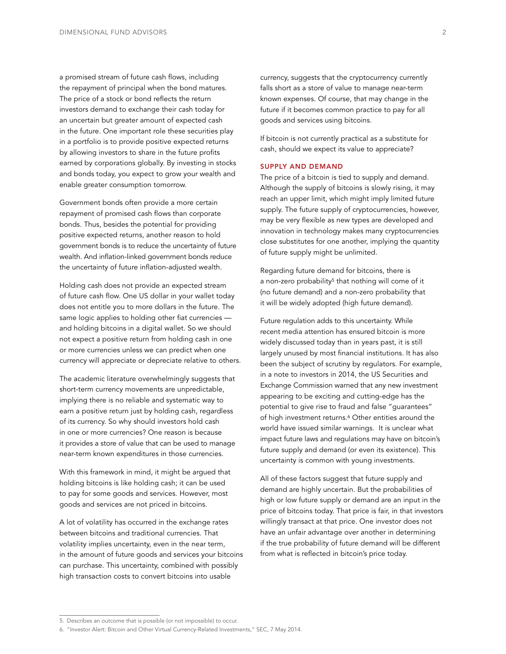a promised stream of future cash flows, including the repayment of principal when the bond matures. The price of a stock or bond reflects the return investors demand to exchange their cash today for an uncertain but greater amount of expected cash in the future. One important role these securities play in a portfolio is to provide positive expected returns by allowing investors to share in the future profits earned by corporations globally. By investing in stocks and bonds today, you expect to grow your wealth and enable greater consumption tomorrow.

Government bonds often provide a more certain repayment of promised cash flows than corporate bonds. Thus, besides the potential for providing positive expected returns, another reason to hold government bonds is to reduce the uncertainty of future wealth. And inflation-linked government bonds reduce the uncertainty of future inflation-adjusted wealth.

Holding cash does not provide an expected stream of future cash flow. One US dollar in your wallet today does not entitle you to more dollars in the future. The same logic applies to holding other fiat currencies and holding bitcoins in a digital wallet. So we should not expect a positive return from holding cash in one or more currencies unless we can predict when one currency will appreciate or depreciate relative to others.

The academic literature overwhelmingly suggests that short-term currency movements are unpredictable, implying there is no reliable and systematic way to earn a positive return just by holding cash, regardless of its currency. So why should investors hold cash in one or more currencies? One reason is because it provides a store of value that can be used to manage near-term known expenditures in those currencies.

With this framework in mind, it might be argued that holding bitcoins is like holding cash; it can be used to pay for some goods and services. However, most goods and services are not priced in bitcoins.

A lot of volatility has occurred in the exchange rates between bitcoins and traditional currencies. That volatility implies uncertainty, even in the near term, in the amount of future goods and services your bitcoins can purchase. This uncertainty, combined with possibly high transaction costs to convert bitcoins into usable

currency, suggests that the cryptocurrency currently falls short as a store of value to manage near-term known expenses. Of course, that may change in the future if it becomes common practice to pay for all goods and services using bitcoins.

If bitcoin is not currently practical as a substitute for cash, should we expect its value to appreciate?

#### SUPPLY AND DEMAND

The price of a bitcoin is tied to supply and demand. Although the supply of bitcoins is slowly rising, it may reach an upper limit, which might imply limited future supply. The future supply of cryptocurrencies, however, may be very flexible as new types are developed and innovation in technology makes many cryptocurrencies close substitutes for one another, implying the quantity of future supply might be unlimited.

Regarding future demand for bitcoins, there is a non-zero probability<sup>5</sup> that nothing will come of it (no future demand) and a non-zero probability that it will be widely adopted (high future demand).

Future regulation adds to this uncertainty. While recent media attention has ensured bitcoin is more widely discussed today than in years past, it is still largely unused by most financial institutions. It has also been the subject of scrutiny by regulators. For example, in a note to investors in 2014, the US Securities and Exchange Commission warned that any new investment appearing to be exciting and cutting-edge has the potential to give rise to fraud and false "guarantees" of high investment returns.<sup>6</sup> Other entities around the world have issued similar warnings. It is unclear what impact future laws and regulations may have on bitcoin's future supply and demand (or even its existence). This uncertainty is common with young investments.

All of these factors suggest that future supply and demand are highly uncertain. But the probabilities of high or low future supply or demand are an input in the price of bitcoins today. That price is fair, in that investors willingly transact at that price. One investor does not have an unfair advantage over another in determining if the true probability of future demand will be different from what is reflected in bitcoin's price today.

<sup>5.</sup> Describes an outcome that is possible (or not impossible) to occur.

<sup>6.</sup> "Investor Alert: Bitcoin and Other Virtual Currency-Related Investments," SEC, 7 May 2014.